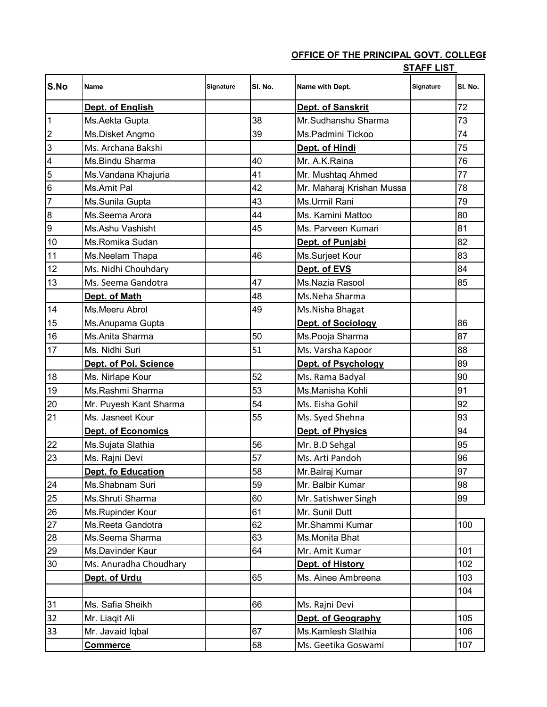## **OFFICE OF THE PRINCIPAL GOVT. COLLEGE**

**STAFF LIST** 

| S.No             | Name                   | Signature | SI. No. | Name with Dept.           | $  -$<br>Signature | SI. No. |
|------------------|------------------------|-----------|---------|---------------------------|--------------------|---------|
|                  | Dept. of English       |           |         | Dept. of Sanskrit         |                    | 72      |
| $\overline{1}$   | Ms.Aekta Gupta         |           | 38      | Mr.Sudhanshu Sharma       |                    | 73      |
| $\overline{c}$   | Ms.Disket Angmo        |           | 39      | Ms.Padmini Tickoo         |                    | 74      |
| 3                | Ms. Archana Bakshi     |           |         | Dept. of Hindi            |                    | 75      |
| 4                | Ms.Bindu Sharma        |           | 40      | Mr. A.K.Raina             |                    | 76      |
| 5                | Ms. Vandana Khajuria   |           | 41      | Mr. Mushtaq Ahmed         |                    | 77      |
| 6                | Ms.Amit Pal            |           | 42      | Mr. Maharaj Krishan Mussa |                    | 78      |
| $\overline{7}$   | Ms.Sunila Gupta        |           | 43      | Ms.Urmil Rani             |                    | 79      |
| $\bf 8$          | Ms.Seema Arora         |           | 44      | Ms. Kamini Mattoo         |                    | 80      |
| $\boldsymbol{9}$ | Ms.Ashu Vashisht       |           | 45      | Ms. Parveen Kumari        |                    | 81      |
| 10               | Ms.Romika Sudan        |           |         | Dept. of Punjabi          |                    | 82      |
| 11               | Ms.Neelam Thapa        |           | 46      | Ms.Surjeet Kour           |                    | 83      |
| 12               | Ms. Nidhi Chouhdary    |           |         | Dept. of EVS              |                    | 84      |
| 13               | Ms. Seema Gandotra     |           | 47      | Ms.Nazia Rasool           |                    | 85      |
|                  | Dept. of Math          |           | 48      | Ms.Neha Sharma            |                    |         |
| 14               | Ms.Meeru Abrol         |           | 49      | Ms.Nisha Bhagat           |                    |         |
| 15               | Ms.Anupama Gupta       |           |         | Dept. of Sociology        |                    | 86      |
| 16               | Ms.Anita Sharma        |           | 50      | Ms.Pooja Sharma           |                    | 87      |
| 17               | Ms. Nidhi Suri         |           | 51      | Ms. Varsha Kapoor         |                    | 88      |
|                  | Dept. of Pol. Science  |           |         | Dept. of Psychology       |                    | 89      |
| 18               | Ms. Nirlape Kour       |           | 52      | Ms. Rama Badyal           |                    | 90      |
| 19               | Ms.Rashmi Sharma       |           | 53      | Ms.Manisha Kohli          |                    | 91      |
| 20               | Mr. Puyesh Kant Sharma |           | 54      | Ms. Eisha Gohil           |                    | 92      |
| 21               | Ms. Jasneet Kour       |           | 55      | Ms. Syed Shehna           |                    | 93      |
|                  | Dept. of Economics     |           |         | Dept. of Physics          |                    | 94      |
| 22               | Ms.Sujata Slathia      |           | 56      | Mr. B.D Sehgal            |                    | 95      |
| 23               | Ms. Rajni Devi         |           | 57      | Ms. Arti Pandoh           |                    | 96      |
|                  | Dept. fo Education     |           | 58      | Mr.Balraj Kumar           |                    | 97      |
| 24               | Ms.Shabnam Suri        |           | 59      | Mr. Balbir Kumar          |                    | 98      |
| 25               | Ms.Shruti Sharma       |           | 60      | Mr. Satishwer Singh       |                    | 99      |
| 26               | Ms.Rupinder Kour       |           | 61      | Mr. Sunil Dutt            |                    |         |
| 27               | Ms.Reeta Gandotra      |           | 62      | Mr.Shammi Kumar           |                    | 100     |
| 28               | Ms.Seema Sharma        |           | 63      | Ms.Monita Bhat            |                    |         |
| 29               | Ms.Davinder Kaur       |           | 64      | Mr. Amit Kumar            |                    | 101     |
| 30               | Ms. Anuradha Choudhary |           |         | Dept. of History          |                    | 102     |
|                  | Dept. of Urdu          |           | 65      | Ms. Ainee Ambreena        |                    | 103     |
|                  |                        |           |         |                           |                    | 104     |
| 31               | Ms. Safia Sheikh       |           | 66      | Ms. Rajni Devi            |                    |         |
| 32               | Mr. Liaqit Ali         |           |         | Dept. of Geography        |                    | 105     |
| 33               | Mr. Javaid Iqbal       |           | 67      | Ms.Kamlesh Slathia        |                    | 106     |
|                  | <u>Commerce</u>        |           | 68      | Ms. Geetika Goswami       |                    | 107     |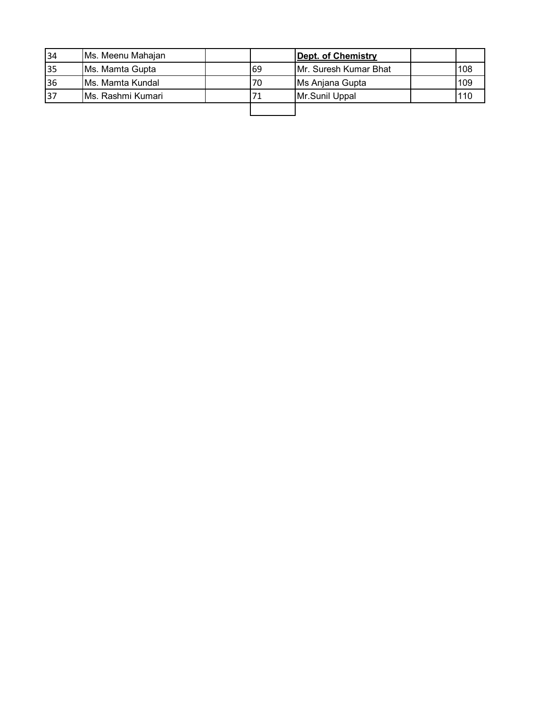| 34 | Ms. Meenu Mahajan        |     | Dept. of Chemistry    |     |
|----|--------------------------|-----|-----------------------|-----|
| 35 | Ms. Mamta Gupta          | 169 | Mr. Suresh Kumar Bhat | 108 |
| 36 | <b>IMs. Mamta Kundal</b> | 70  | Ms Anjana Gupta       | 109 |
| 37 | IMs. Rashmi Kumari       |     | Mr.Sunil Uppal        | 110 |
|    |                          |     |                       |     |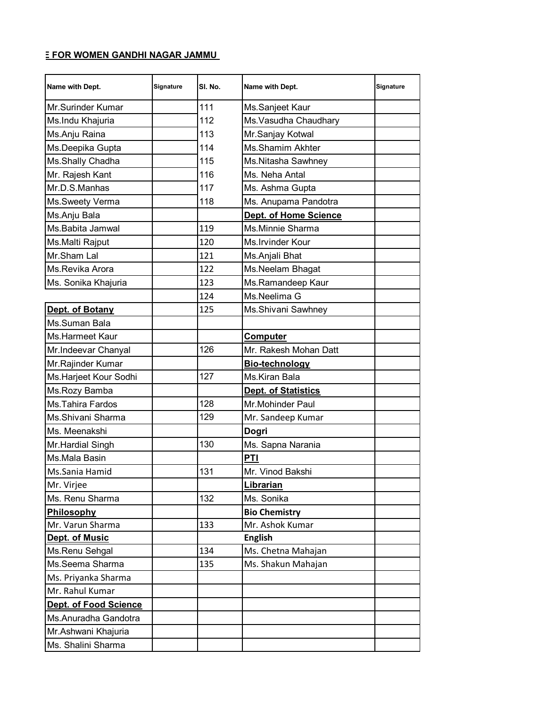## **E FOR WOMEN GANDHI NAGAR JAMMU**

| Name with Dept.        | Signature | SI. No. | Name with Dept.         | Signature |
|------------------------|-----------|---------|-------------------------|-----------|
| Mr.Surinder Kumar      |           | 111     | Ms.Sanjeet Kaur         |           |
| Ms.Indu Khajuria       |           | 112     | Ms. Vasudha Chaudhary   |           |
| Ms.Anju Raina          |           | 113     | Mr.Sanjay Kotwal        |           |
| Ms.Deepika Gupta       |           | 114     | <b>Ms.Shamim Akhter</b> |           |
| Ms.Shally Chadha       |           | 115     | Ms.Nitasha Sawhney      |           |
| Mr. Rajesh Kant        |           | 116     | Ms. Neha Antal          |           |
| Mr.D.S.Manhas          |           | 117     | Ms. Ashma Gupta         |           |
| Ms.Sweety Verma        |           | 118     | Ms. Anupama Pandotra    |           |
| Ms.Anju Bala           |           |         | Dept. of Home Science   |           |
| Ms.Babita Jamwal       |           | 119     | Ms.Minnie Sharma        |           |
| Ms.Malti Rajput        |           | 120     | Ms. Irvinder Kour       |           |
| Mr.Sham Lal            |           | 121     | Ms.Anjali Bhat          |           |
| Ms.Revika Arora        |           | 122     | Ms.Neelam Bhagat        |           |
| Ms. Sonika Khajuria    |           | 123     | Ms.Ramandeep Kaur       |           |
|                        |           | 124     | Ms.Neelima G            |           |
| Dept. of Botany        |           | 125     | Ms.Shivani Sawhney      |           |
| Ms.Suman Bala          |           |         |                         |           |
| <b>Ms.Harmeet Kaur</b> |           |         | <b>Computer</b>         |           |
| Mr.Indeevar Chanyal    |           | 126     | Mr. Rakesh Mohan Datt   |           |
| Mr.Rajinder Kumar      |           |         | Bio-technology          |           |
| Ms.Harjeet Kour Sodhi  |           | 127     | Ms.Kiran Bala           |           |
| Ms.Rozy Bamba          |           |         | Dept. of Statistics     |           |
| Ms. Tahira Fardos      |           | 128     | Mr.Mohinder Paul        |           |
| Ms.Shivani Sharma      |           | 129     | Mr. Sandeep Kumar       |           |
| Ms. Meenakshi          |           |         | Dogri                   |           |
| Mr.Hardial Singh       |           | 130     | Ms. Sapna Narania       |           |
| Ms.Mala Basin          |           |         | <b>PTI</b>              |           |
| Ms.Sania Hamid         |           | 131     | Mr. Vinod Bakshi        |           |
| Mr. Virjee             |           |         | Librarian               |           |
| Ms. Renu Sharma        |           | 132     | Ms. Sonika              |           |
| Philosophy             |           |         | <b>Bio Chemistry</b>    |           |
| Mr. Varun Sharma       |           | 133     | Mr. Ashok Kumar         |           |
| Dept. of Music         |           |         | <b>English</b>          |           |
| Ms.Renu Sehgal         |           | 134     | Ms. Chetna Mahajan      |           |
| Ms.Seema Sharma        |           | 135     | Ms. Shakun Mahajan      |           |
| Ms. Priyanka Sharma    |           |         |                         |           |
| Mr. Rahul Kumar        |           |         |                         |           |
| Dept. of Food Science  |           |         |                         |           |
| Ms.Anuradha Gandotra   |           |         |                         |           |
| Mr.Ashwani Khajuria    |           |         |                         |           |
| Ms. Shalini Sharma     |           |         |                         |           |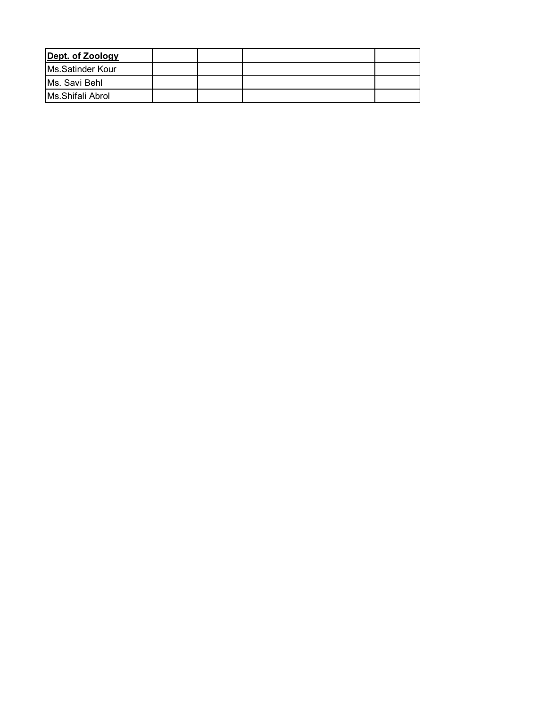| Dept. of Zoology |  |  |  |
|------------------|--|--|--|
| Ms.Satinder Kour |  |  |  |
| Ms. Savi Behl    |  |  |  |
| Ms.Shifali Abrol |  |  |  |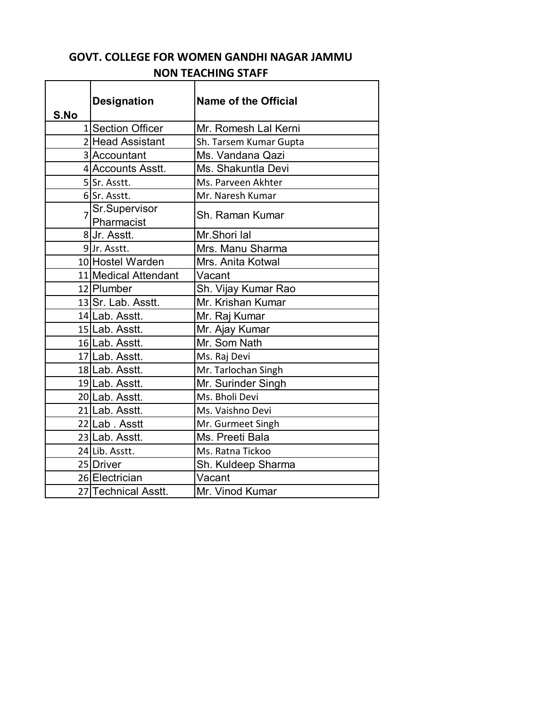## **GOVT. COLLEGE FOR WOMEN GANDHI NAGAR JAMMU NON TEACHING STAFF**

| S.No           | <b>Designation</b>   | <b>Name of the Official</b> |  |
|----------------|----------------------|-----------------------------|--|
|                | 1 Section Officer    | Mr. Romesh Lal Kerni        |  |
|                | 2 Head Assistant     | Sh. Tarsem Kumar Gupta      |  |
|                | 3 Accountant         | Ms. Vandana Qazi            |  |
|                | 4 Accounts Asstt.    | Ms. Shakuntla Devi          |  |
|                | 5Sr. Asstt.          | Ms. Parveen Akhter          |  |
|                | 6Sr. Asstt.          | Mr. Naresh Kumar            |  |
| $\overline{7}$ | Sr.Supervisor        | Sh. Raman Kumar             |  |
|                | Pharmacist           |                             |  |
|                | 8Ur. Asstt.          | Mr.Shori lal                |  |
|                | 9Jr. Asstt.          | Mrs. Manu Sharma            |  |
|                | 10 Hostel Warden     | Mrs. Anita Kotwal           |  |
|                | 11 Medical Attendant | Vacant                      |  |
|                | 12 Plumber           | Sh. Vijay Kumar Rao         |  |
|                | 13 Sr. Lab. Asstt.   | Mr. Krishan Kumar           |  |
|                | 14 Lab. Asstt.       | Mr. Raj Kumar               |  |
|                | 15 Lab. Asstt.       | Mr. Ajay Kumar              |  |
|                | 16 Lab. Asstt.       | Mr. Som Nath                |  |
|                | 17 Lab. Asstt.       | Ms. Raj Devi                |  |
|                | 18 Lab. Asstt.       | Mr. Tarlochan Singh         |  |
|                | 19 Lab. Asstt.       | Mr. Surinder Singh          |  |
|                | 20 Lab. Asstt.       | Ms. Bholi Devi              |  |
|                | 21 Lab. Asstt.       | Ms. Vaishno Devi            |  |
|                | 22 Lab. Asstt        | Mr. Gurmeet Singh           |  |
|                | 23 Lab. Asstt.       | Ms. Preeti Bala             |  |
|                | 24 Lib. Asstt.       | Ms. Ratna Tickoo            |  |
|                | 25 Driver            | Sh. Kuldeep Sharma          |  |
|                | 26 Electrician       | Vacant                      |  |
|                | 27 Technical Asstt.  | Mr. Vinod Kumar             |  |